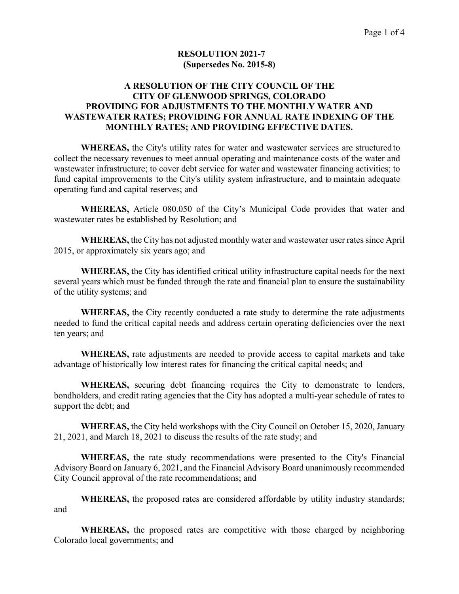### **RESOLUTION 2021-7 (Supersedes No. 2015-8)**

### **A RESOLUTION OF THE CITY COUNCIL OF THE CITY OF GLENWOOD SPRINGS, COLORADO PROVIDING FOR ADJUSTMENTS TO THE MONTHLY WATER AND WASTEWATER RATES; PROVIDING FOR ANNUAL RATE INDEXING OF THE MONTHLY RATES; AND PROVIDING EFFECTIVE DATES.**

**WHEREAS,** the City's utility rates for water and wastewater services are structured to collect the necessary revenues to meet annual operating and maintenance costs of the water and wastewater infrastructure; to cover debt service for water and wastewater financing activities; to fund capital improvements to the City's utility system infrastructure, and to maintain adequate operating fund and capital reserves; and

 **WHEREAS,** Article 080.050 of the City's Municipal Code provides that water and wastewater rates be established by Resolution; and

 **WHEREAS,** the City has not adjusted monthly water and wastewater user rates since April 2015, or approximately six years ago; and

 **WHEREAS,** the City has identified critical utility infrastructure capital needs for the next several years which must be funded through the rate and financial plan to ensure the sustainability of the utility systems; and

 **WHEREAS,** the City recently conducted a rate study to determine the rate adjustments needed to fund the critical capital needs and address certain operating deficiencies over the next ten years; and

 **WHEREAS,** rate adjustments are needed to provide access to capital markets and take advantage of historically low interest rates for financing the critical capital needs; and

 **WHEREAS,** securing debt financing requires the City to demonstrate to lenders, bondholders, and credit rating agencies that the City has adopted a multi-year schedule of rates to support the debt; and

 **WHEREAS,** the City held workshops with the City Council on October 15, 2020, January 21, 2021, and March 18, 2021 to discuss the results of the rate study; and

 **WHEREAS,** the rate study recommendations were presented to the City's Financial Advisory Board on January 6, 2021, and the Financial Advisory Board unanimously recommended City Council approval of the rate recommendations; and

 **WHEREAS,** the proposed rates are considered affordable by utility industry standards; and

 **WHEREAS,** the proposed rates are competitive with those charged by neighboring Colorado local governments; and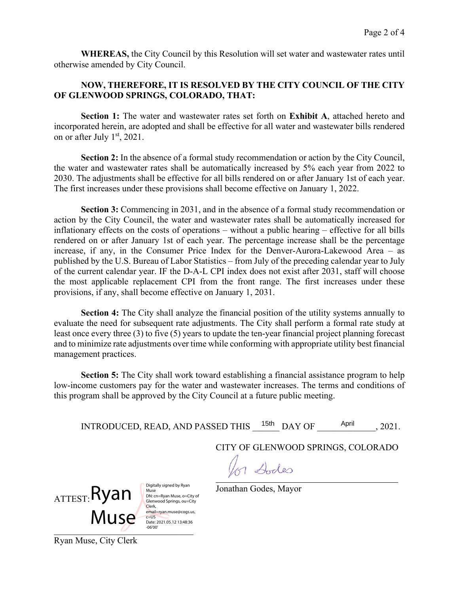**WHEREAS,** the City Council by this Resolution will set water and wastewater rates until otherwise amended by City Council.

## **NOW, THEREFORE, IT IS RESOLVED BY THE CITY COUNCIL OF THE CITY OF GLENWOOD SPRINGS, COLORADO, THAT:**

**Section 1:** The water and wastewater rates set forth on **Exhibit A**, attached hereto and incorporated herein, are adopted and shall be effective for all water and wastewater bills rendered on or after July 1<sup>st</sup>, 2021.

**Section 2:** In the absence of a formal study recommendation or action by the City Council, the water and wastewater rates shall be automatically increased by 5% each year from 2022 to 2030. The adjustments shall be effective for all bills rendered on or after January 1st of each year. The first increases under these provisions shall become effective on January 1, 2022.

**Section 3:** Commencing in 2031, and in the absence of a formal study recommendation or action by the City Council, the water and wastewater rates shall be automatically increased for inflationary effects on the costs of operations – without a public hearing – effective for all bills rendered on or after January 1st of each year. The percentage increase shall be the percentage increase, if any, in the Consumer Price Index for the Denver-Aurora-Lakewood Area – as published by the U.S. Bureau of Labor Statistics – from July of the preceding calendar year to July of the current calendar year. IF the D-A-L CPI index does not exist after 2031, staff will choose the most applicable replacement CPI from the front range. The first increases under these provisions, if any, shall become effective on January 1, 2031.

**Section 4:** The City shall analyze the financial position of the utility systems annually to evaluate the need for subsequent rate adjustments. The City shall perform a formal rate study at least once every three (3) to five (5) years to update the ten-year financial project planning forecast and to minimize rate adjustments over time while conforming with appropriate utility best financial management practices.

**Section 5:** The City shall work toward establishing a financial assistance program to help low-income customers pay for the water and wastewater increases. The terms and conditions of this program shall be approved by the City Council at a future public meeting.

INTRODUCED, READ, AND PASSED THIS  $^{15th}$  DAY OF  $^{4pril}$ , 2021.

CITY OF GLENWOOD SPRINGS, COLORADO

for Dodes

 $_{\rm ATTEST:}$ Ryan Muse<sup>L</sup>

Digitally signed by Ryan Muse DN: cn=Ryan Muse, o=City of Glenwood Springs, ou=City Clerk,<br>email=ryan.muse@cogs.us,  $c = US$ Date: 2021.05.12 13:48:36 -06'00'

Jonathan Godes, Mayor

Ryan Muse, City Clerk

 $-06'00'$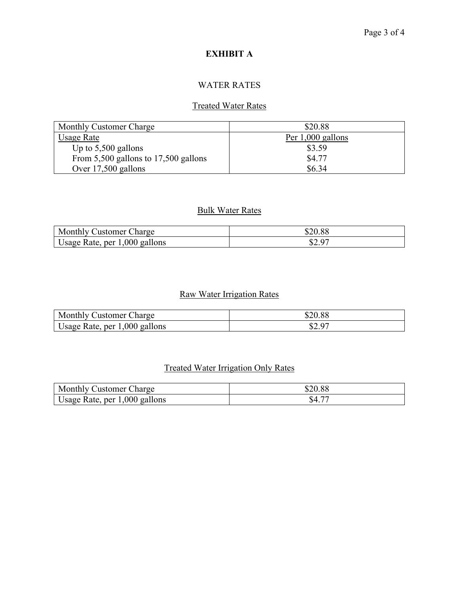# **EXHIBIT A**

## WATER RATES

## Treated Water Rates

| Monthly Customer Charge                  | \$20.88             |  |  |
|------------------------------------------|---------------------|--|--|
| Usage Rate                               | Per $1,000$ gallons |  |  |
| Up to $5,500$ gallons                    | \$3.59              |  |  |
| From $5,500$ gallons to $17,500$ gallons | \$4.77              |  |  |
| Over 17,500 gallons                      | \$6.34              |  |  |

### Bulk Water Rates

| Monthly<br>Charge<br>Justomer          | \$20.88    |
|----------------------------------------|------------|
| 1,000<br>gallons<br>Rate, per<br>Usage | 07<br>いム・ノ |

# Raw Water Irrigation Rates

| Monthly<br>harge:<br>√ustomer ∪ |                  |
|---------------------------------|------------------|
| Usage Rate, per $1,000$ gallons | $\Omega$<br>JZ.J |

# Treated Water Irrigation Only Rates

| Monthly (<br>harge _<br>Justomer.   | 920.88 |
|-------------------------------------|--------|
| gallons<br>1,000<br>Usage Rate, per | ა      |